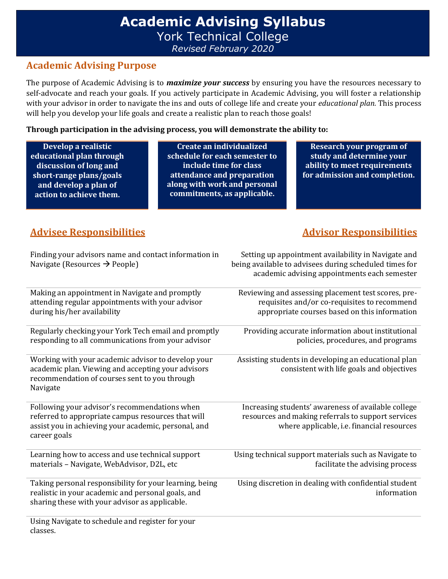## **Academic Advising Syllabus** York Technical College *Revised February 2020*

#### **Academic Advising Purpose**

The purpose of Academic Advising is to *maximize your success* by ensuring you have the resources necessary to self-advocate and reach your goals. If you actively participate in Academic Advising, you will foster a relationship with your advisor in order to navigate the ins and outs of college life and create your *educational plan.* This process will help you develop your life goals and create a realistic plan to reach those goals!

#### **Through participation in the advising process, you will demonstrate the ability to:**

**Develop a realistic educational plan through discussion of long and short-range plans/goals and develop a plan of action to achieve them.**

**Create an individualized schedule for each semester to include time for class attendance and preparation along with work and personal commitments, as applicable.**

**Research your program of study and determine your ability to meet requirements for admission and completion.**

### **Advisee Responsibilities Advisor Responsibilities**

| Finding your advisors name and contact information in<br>Navigate (Resources $\rightarrow$ People)                                                                          | Setting up appointment availability in Navigate and<br>being available to advisees during scheduled times for<br>academic advising appointments each semester |
|-----------------------------------------------------------------------------------------------------------------------------------------------------------------------------|---------------------------------------------------------------------------------------------------------------------------------------------------------------|
| Making an appointment in Navigate and promptly<br>attending regular appointments with your advisor<br>during his/her availability                                           | Reviewing and assessing placement test scores, pre-<br>requisites and/or co-requisites to recommend<br>appropriate courses based on this information          |
| Regularly checking your York Tech email and promptly<br>responding to all communications from your advisor                                                                  | Providing accurate information about institutional<br>policies, procedures, and programs                                                                      |
| Working with your academic advisor to develop your<br>academic plan. Viewing and accepting your advisors<br>recommendation of courses sent to you through<br>Navigate       | Assisting students in developing an educational plan<br>consistent with life goals and objectives                                                             |
| Following your advisor's recommendations when<br>referred to appropriate campus resources that will<br>assist you in achieving your academic, personal, and<br>career goals | Increasing students' awareness of available college<br>resources and making referrals to support services<br>where applicable, i.e. financial resources       |
| Learning how to access and use technical support<br>materials - Navigate, WebAdvisor, D2L, etc                                                                              | Using technical support materials such as Navigate to<br>facilitate the advising process                                                                      |
| Taking personal responsibility for your learning, being<br>realistic in your academic and personal goals, and<br>sharing these with your advisor as applicable.             | Using discretion in dealing with confidential student<br>information                                                                                          |
| Using Navigate to schedule and register for your<br>classes.                                                                                                                |                                                                                                                                                               |